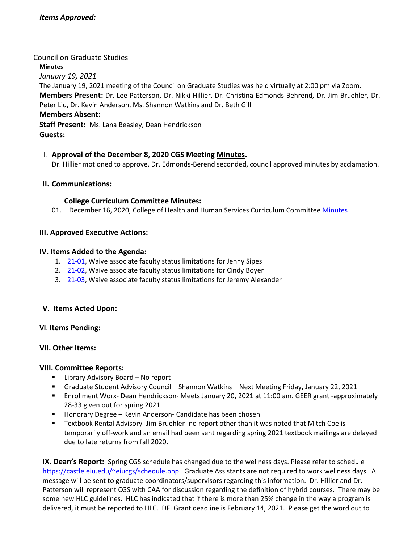#### Council on Graduate Studies

**Minutes**

*January 19, 2021*

The January 19, 2021 meeting of the Council on Graduate Studies was held virtually at 2:00 pm via Zoom. **Members Present:** Dr. Lee Patterson, Dr. Nikki Hillier, Dr. Christina Edmonds-Behrend, Dr. Jim Bruehler, Dr. Peter Liu, Dr. Kevin Anderson, Ms. Shannon Watkins and Dr. Beth Gill **Members Absent: Staff Present:** Ms. Lana Beasley, Dean Hendrickson **Guests:**

# I. **Approval of the December 8, 2020 CGS Meeting [Minutes.](https://castle.eiu.edu/~eiucgs/currentminutes/Minutes12-8-20.pdf)**

Dr. Hillier motioned to approve, Dr. Edmonds-Berend seconded, council approved minutes by acclamation.

## **II. Communications:**

## **College Curriculum Committee Minutes:**

01. December 16, 2020, College of Health and Human Services Curriculum Committee [Minutes](https://pmaileiu-my.sharepoint.com/:f:/g/personal/jemmett_eiu_edu/Evmu2QVxS3RNlU7eIILPqc4BhD6O_9JwZ9UdWH1jTpBZFQ)

## **III. Approved Executive Actions:**

## **IV. Items Added to the Agenda:**

- 1. [21-01,](https://castle.eiu.edu/eiucgs/currentagendaitems/agenda21-01.pdf) Waive associate faculty status limitations for Jenny Sipes
- 2. [21-02,](https://castle.eiu.edu/eiucgs/currentagendaitems/agenda21-02.pdf) Waive associate faculty status limitations for Cindy Boyer
- 3. [21-03,](https://castle.eiu.edu/eiucgs/currentagendaitems/agenda21-03.pdf) Waive associate faculty status limitations for Jeremy Alexander

# **V. Items Acted Upon:**

## **VI**. **Items Pending:**

# **VII. Other Items:**

## **VIII. Committee Reports:**

- **E** Library Advisory Board No report
- Graduate Student Advisory Council Shannon Watkins Next Meeting Friday, January 22, 2021
- Enrollment Worx- Dean Hendrickson- Meets January 20, 2021 at 11:00 am. GEER grant -approximately 28-33 given out for spring 2021
- Honorary Degree Kevin Anderson- Candidate has been chosen
- Textbook Rental Advisory- Jim Bruehler- no report other than it was noted that Mitch Coe is temporarily off-work and an email had been sent regarding spring 2021 textbook mailings are delayed due to late returns from fall 2020.

**IX. Dean's Report:** Spring CGS schedule has changed due to the wellness days. Please refer to schedule [https://castle.eiu.edu/~eiucgs/schedule.php.](https://castle.eiu.edu/%7Eeiucgs/schedule.php) Graduate Assistants are not required to work wellness days. A message will be sent to graduate coordinators/supervisors regarding this information. Dr. Hillier and Dr. Patterson will represent CGS with CAA for discussion regarding the definition of hybrid courses. There may be some new HLC guidelines. HLC has indicated that if there is more than 25% change in the way a program is delivered, it must be reported to HLC. DFI Grant deadline is February 14, 2021. Please get the word out to